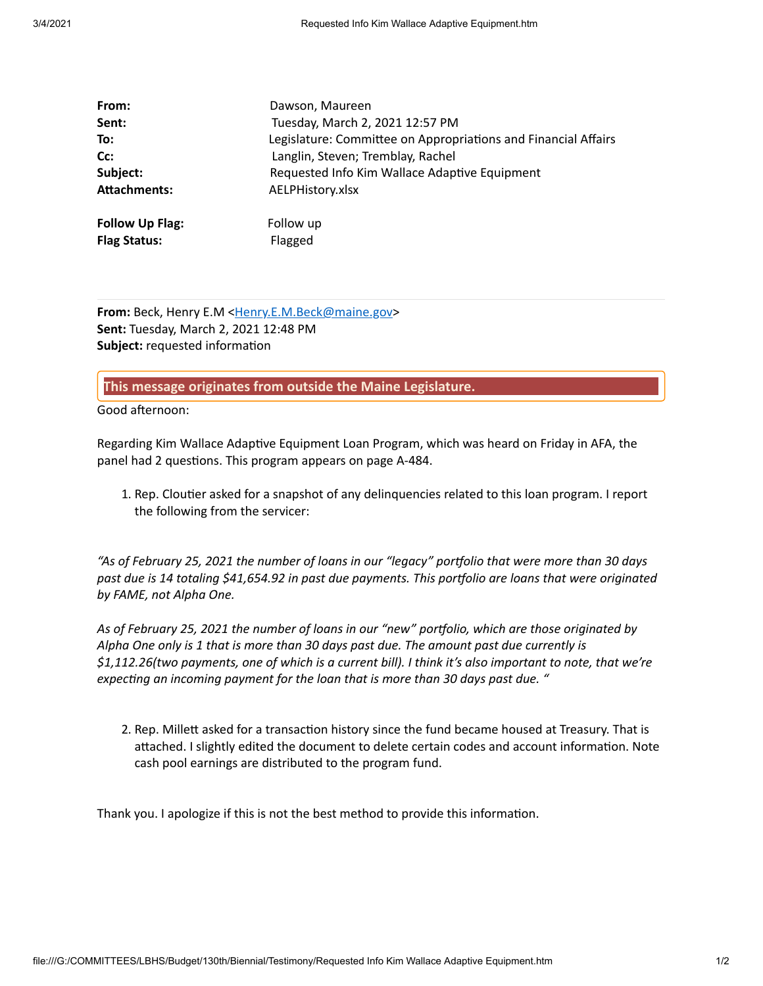| From:                  | Dawson, Maureen                                                |  |
|------------------------|----------------------------------------------------------------|--|
| Sent:                  | Tuesday, March 2, 2021 12:57 PM                                |  |
| To:                    | Legislature: Committee on Appropriations and Financial Affairs |  |
| Cc:                    | Langlin, Steven; Tremblay, Rachel                              |  |
| Subject:               | Requested Info Kim Wallace Adaptive Equipment                  |  |
| <b>Attachments:</b>    | AELPHistory.xlsx                                               |  |
| <b>Follow Up Flag:</b> | Follow up                                                      |  |
| <b>Flag Status:</b>    | Flagged                                                        |  |

**From:** Beck, Henry E.M [<Henry.E.M.Beck@maine.gov](mailto:Henry.E.M.Beck@maine.gov)> **Sent:** Tuesday, March 2, 2021 12:48 PM **Subject:** requested information

**This message originates from outside the Maine Legislature.**

Good afternoon:

Regarding Kim Wallace Adaptive Equipment Loan Program, which was heard on Friday in AFA, the panel had 2 questions. This program appears on page A-484.

1. Rep. Cloutier asked for a snapshot of any delinquencies related to this loan program. I report the following from the servicer:

*"As of February 25, 2021 the number of loans in our "legacy" portfolio that were more than 30 days past due is 14 totaling \$41,654.92 in past due payments. This porolio are loans that were originated by FAME, not Alpha One.*

*As of February 25, 2021 the number of loans in our "new" porolio, which are those originated by Alpha One only is 1 that is more than 30 days past due. The amount past due currently is \$1,112.26(two payments, one of which is a current bill). I think it's also important to note, that we're expecng an incoming payment for the loan that is more than 30 days past due. "*

2. Rep. Millett asked for a transaction history since the fund became housed at Treasury. That is attached. I slightly edited the document to delete certain codes and account information. Note cash pool earnings are distributed to the program fund.

Thank you. I apologize if this is not the best method to provide this information.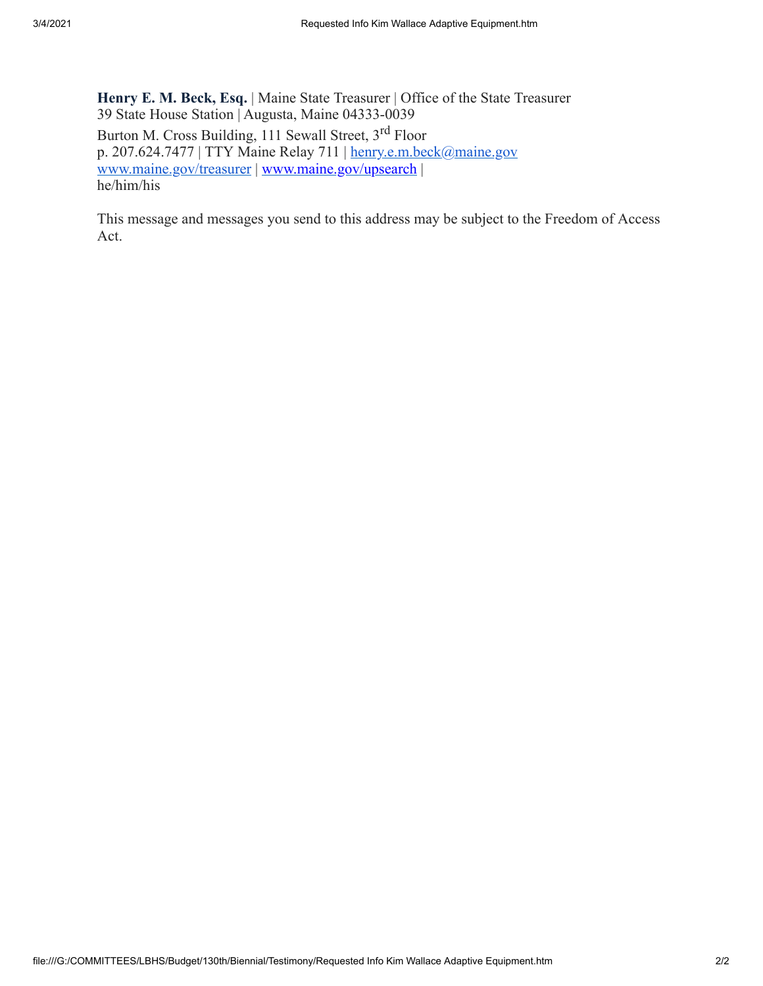**Henry E. M. Beck, Esq.** | Maine State Treasurer | Office of the State Treasurer 39 State House Station | Augusta, Maine 04333-0039 Burton M. Cross Building, 111 Sewall Street, 3<sup>rd</sup> Floor p. 207.624.7477 | TTY Maine Relay 711 | [henry.e.m.beck@maine.gov](mailto:henry.e.m.beck@maine.gov) [www.maine.gov/treasurer](https://gcc02.safelinks.protection.outlook.com/?url=http%3A%2F%2Fwww.maine.gov%2Ftreasurer&data=04%7C01%7CHenry.E.M.Beck%40maine.gov%7Cd063bf96c1834d0d3f6008d88d9db53f%7C413fa8ab207d4b629bcdea1a8f2f864e%7C0%7C0%7C637415055775126490%7CUnknown%7CTWFpbGZsb3d8eyJWIjoiMC4wLjAwMDAiLCJQIjoiV2luMzIiLCJBTiI6Ik1haWwiLCJXVCI6Mn0%3D%7C1000&sdata=ODgTI4IpFQTOPafcurJvqhnGP2SPHEPtTiprACIj27U%3D&reserved=0) | [www.maine.gov/upsearch](https://gcc02.safelinks.protection.outlook.com/?url=http%3A%2F%2Fwww.maine.gov%2Fupsearch&data=04%7C01%7CHenry.E.M.Beck%40maine.gov%7Cd063bf96c1834d0d3f6008d88d9db53f%7C413fa8ab207d4b629bcdea1a8f2f864e%7C0%7C0%7C637415055775126490%7CUnknown%7CTWFpbGZsb3d8eyJWIjoiMC4wLjAwMDAiLCJQIjoiV2luMzIiLCJBTiI6Ik1haWwiLCJXVCI6Mn0%3D%7C1000&sdata=jVwYUDTT%2BYoV1xCg5yIqFC%2FmYUukFdT3f7nvs3%2FFISA%3D&reserved=0) | he/him/his

This message and messages you send to this address may be subject to the Freedom of Access Act.